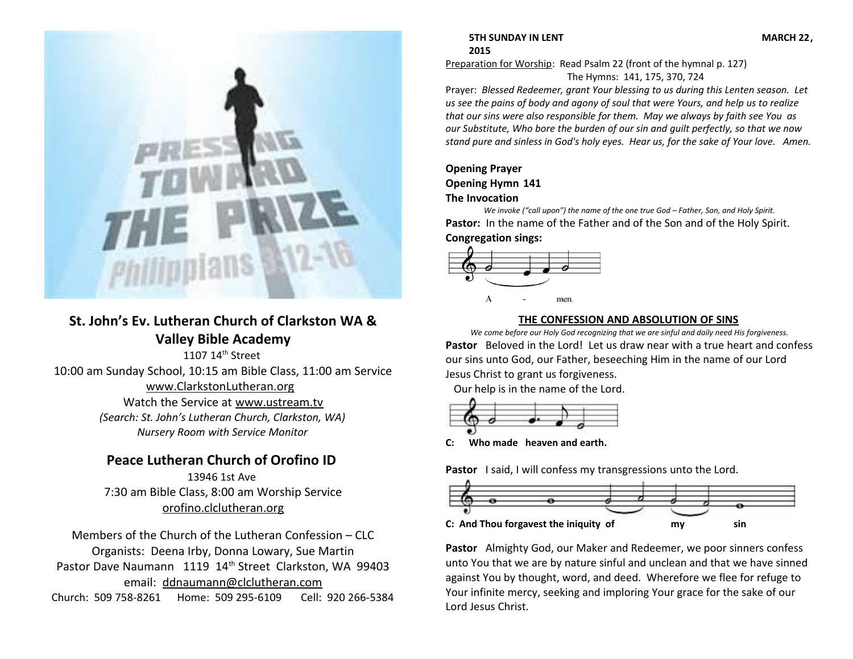

# **St. John's Ev. Lutheran Church of Clarkston WA & Valley Bible Academy**

1107 14<sup>th</sup> Street 10:00 am Sunday School, 10:15 am Bible Class, 11:00 am Service [www.ClarkstonLutheran.org](http://www.ClarkstonLutheran.org/)  Watch the Service at [www.ustream.tv](http://www.ustream.tv/) *(Search: St. John's Lutheran Church, Clarkston, WA) Nursery Room with Service Monitor*

# **Peace Lutheran Church of Orofino ID**

13946 1st Ave 7:30 am Bible Class, 8:00 am Worship Service [orofino.clclutheran.org](http://www.orofinolutheran.org/)

Members of the Church of the Lutheran Confession – CLC Organists: Deena Irby, Donna Lowary, Sue Martin Pastor Dave Naumann 1119 14<sup>th</sup> Street Clarkston, WA 99403 email: [ddnaumann@clclutheran.com](mailto:ddnaumann@clclutheran.com) Church: 509 758-8261 Home: 509 295-6109 Cell: 920 266-5384

# **5TH SUNDAY IN LENT MARCH 22, 2015**

Preparation for Worship: Read Psalm 22 (front of the hymnal p. 127) The Hymns: 141, 175, 370, 724

Prayer: *Blessed Redeemer, grant Your blessing to us during this Lenten season. Let us see the pains of body and agony of soul that were Yours, and help us to realize that our sins were also responsible for them. May we always by faith see You as our Substitute, Who bore the burden of our sin and guilt perfectly, so that we now stand pure and sinless in God's holy eyes. Hear us, for the sake of Your love. Amen.*

# **Opening Prayer Opening Hymn 141 The Invocation**

*We invoke ("call upon") the name of the one true God – Father, Son, and Holy Spirit.* **Pastor:** In the name of the Father and of the Son and of the Holy Spirit. **Congregation sings:**



# **THE CONFESSION AND ABSOLUTION OF SINS**

*We come before our Holy God recognizing that we are sinful and daily need His forgiveness.* **Pastor** Beloved in the Lord! Let us draw near with a true heart and confess our sins unto God, our Father, beseeching Him in the name of our Lord Jesus Christ to grant us forgiveness.

Our help is in the name of the Lord.



**C: Who made heaven and earth.**

**Pastor** I said, I will confess my transgressions unto the Lord.



**Pastor** Almighty God, our Maker and Redeemer, we poor sinners confess unto You that we are by nature sinful and unclean and that we have sinned against You by thought, word, and deed. Wherefore we flee for refuge to Your infinite mercy, seeking and imploring Your grace for the sake of our Lord Jesus Christ.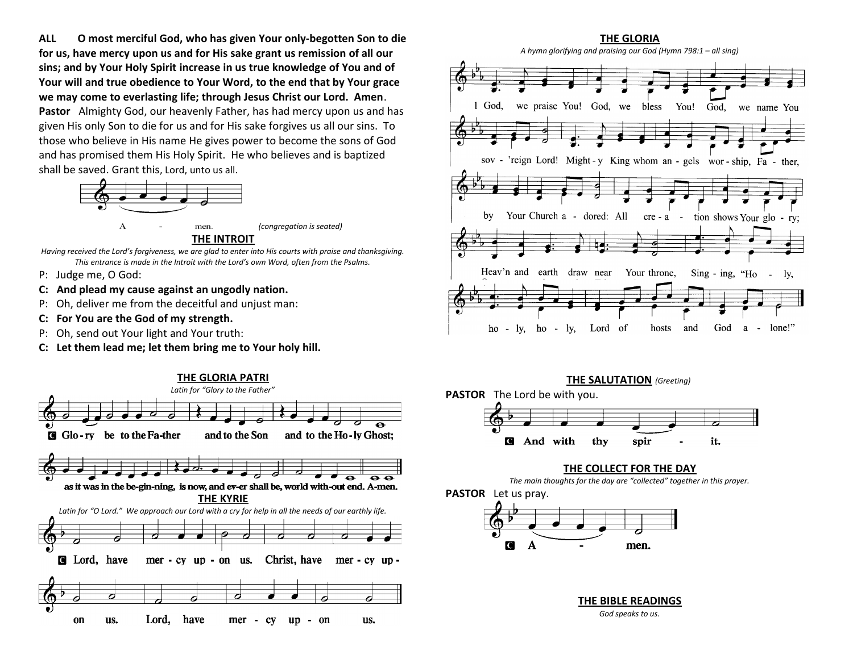**ALL O most merciful God, who has given Your only-begotten Son to die for us, have mercy upon us and for His sake grant us remission of all our sins; and by Your Holy Spirit increase in us true knowledge of You and of Your will and true obedience to Your Word, to the end that by Your grace we may come to everlasting life; through Jesus Christ our Lord. Amen**. **Pastor** Almighty God, our heavenly Father, has had mercy upon us and has

given His only Son to die for us and for His sake forgives us all our sins. To those who believe in His name He gives power to become the sons of God and has promised them His Holy Spirit. He who believes and is baptized shall be saved. Grant this, Lord, unto us all.



**THE INTROIT**

*Having received the Lord's forgiveness, we are glad to enter into His courts with praise and thanksgiving. This entrance is made in the Introit with the Lord's own Word, often from the Psalms.*

- P: Judge me, O God:
- **C: And plead my cause against an ungodly nation.**
- P: Oh, deliver me from the deceitful and unjust man:
- **C: For You are the God of my strength.**
- P: Oh, send out Your light and Your truth:
- **C: Let them lead me; let them bring me to Your holy hill.**









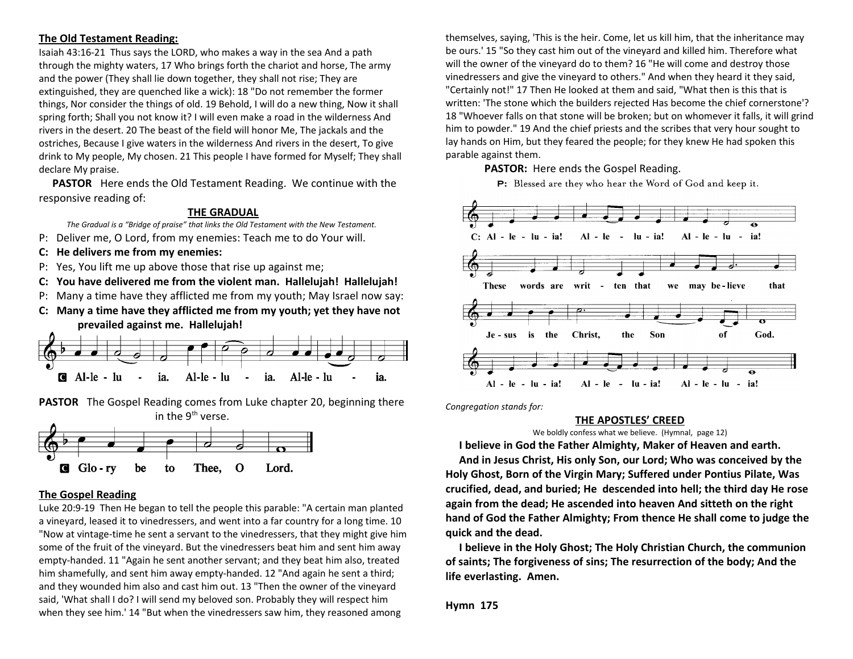# **The Old Testament Reading:**

Isaiah 43:16-21 Thus says the LORD, who makes a way in the sea And a path through the mighty waters, 17 Who brings forth the chariot and horse, The army and the power (They shall lie down together, they shall not rise; They are extinguished, they are quenched like a wick): 18 "Do not remember the former things, Nor consider the things of old. 19 Behold, I will do a new thing, Now it shall spring forth; Shall you not know it? I will even make a road in the wilderness And rivers in the desert. 20 The beast of the field will honor Me, The jackals and the ostriches, Because I give waters in the wilderness And rivers in the desert, To give drink to My people, My chosen. 21 This people I have formed for Myself; They shall declare My praise.

 **PASTOR** Here ends the Old Testament Reading. We continue with the responsive reading of:

# **THE GRADUAL**

*The Gradual is a "Bridge of praise" that links the Old Testament with the New Testament.* 

- P: Deliver me, O Lord, from my enemies: Teach me to do Your will.
- **C: He delivers me from my enemies:**
- P: Yes, You lift me up above those that rise up against me;
- **C: You have delivered me from the violent man. Hallelujah! Hallelujah!**
- P: Many a time have they afflicted me from my youth; May Israel now say:
- **C: Many a time have they afflicted me from my youth; yet they have not prevailed against me. Hallelujah!**



**PASTOR** The Gospel Reading comes from Luke chapter 20, beginning there in the  $9<sup>th</sup>$  verse.



#### **The Gospel Reading**

Luke 20:9-19 Then He began to tell the people this parable: "A certain man planted a vineyard, leased it to vinedressers, and went into a far country for a long time. 10 "Now at vintage-time he sent a servant to the vinedressers, that they might give him some of the fruit of the vineyard. But the vinedressers beat him and sent him away empty-handed. 11 "Again he sent another servant; and they beat him also, treated him shamefully, and sent him away empty-handed. 12 "And again he sent a third; and they wounded him also and cast him out. 13 "Then the owner of the vineyard said, 'What shall I do? I will send my beloved son. Probably they will respect him when they see him.' 14 "But when the vinedressers saw him, they reasoned among

themselves, saying, 'This is the heir. Come, let us kill him, that the inheritance may be ours.' 15 "So they cast him out of the vineyard and killed him. Therefore what will the owner of the vineyard do to them? 16 "He will come and destroy those vinedressers and give the vineyard to others." And when they heard it they said, "Certainly not!" 17 Then He looked at them and said, "What then is this that is written: 'The stone which the builders rejected Has become the chief cornerstone'? 18 "Whoever falls on that stone will be broken; but on whomever it falls, it will grind him to powder." 19 And the chief priests and the scribes that very hour sought to lay hands on Him, but they feared the people; for they knew He had spoken this parable against them.

#### **PASTOR:** Here ends the Gospel Reading.





*Congregation stands for:*

#### **THE APOSTLES' CREED**

We boldly confess what we believe. (Hymnal, page 12)

 **I believe in God the Father Almighty, Maker of Heaven and earth.**

 **And in Jesus Christ, His only Son, our Lord; Who was conceived by the Holy Ghost, Born of the Virgin Mary; Suffered under Pontius Pilate, Was crucified, dead, and buried; He descended into hell; the third day He rose again from the dead; He ascended into heaven And sitteth on the right hand of God the Father Almighty; From thence He shall come to judge the quick and the dead.**

 **I believe in the Holy Ghost; The Holy Christian Church, the communion of saints; The forgiveness of sins; The resurrection of the body; And the life everlasting. Amen.**

**Hymn 175**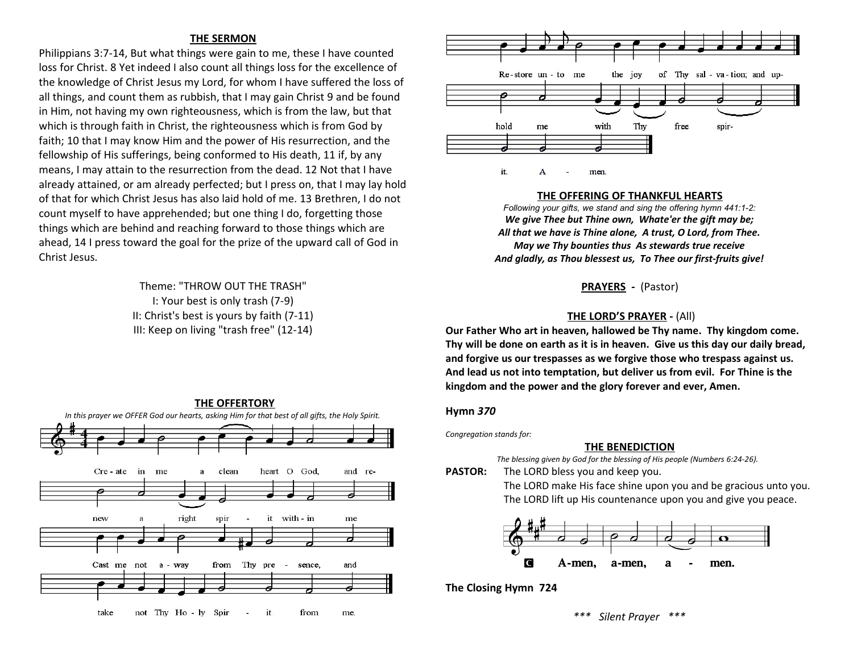# **THE SERMON**

Philippians 3:7-14, But what things were gain to me, these I have counted loss for Christ. 8 Yet indeed I also count all things loss for the excellence of the knowledge of Christ Jesus my Lord, for whom I have suffered the loss of all things, and count them as rubbish, that I may gain Christ 9 and be found in Him, not having my own righteousness, which is from the law, but that which is through faith in Christ, the righteousness which is from God by faith; 10 that I may know Him and the power of His resurrection, and the fellowship of His sufferings, being conformed to His death, 11 if, by any means, I may attain to the resurrection from the dead. 12 Not that I have already attained, or am already perfected; but I press on, that I may lay hold of that for which Christ Jesus has also laid hold of me. 13 Brethren, I do not count myself to have apprehended; but one thing I do, forgetting those things which are behind and reaching forward to those things which are ahead, 14 I press toward the goal for the prize of the upward call of God in Christ Jesus.

> Theme: "THROW OUT THE TRASH" I: Your best is only trash (7-9) II: Christ's best is yours by faith (7-11) III: Keep on living "trash free" (12-14)





#### **THE OFFERING OF THANKFUL HEARTS**

*Following your gifts, we stand and sing the offering hymn 441:1-2: We give Thee but Thine own, Whate'er the gift may be; All that we have is Thine alone, A trust, O Lord, from Thee. May we Thy bounties thus As stewards true receive And gladly, as Thou blessest us, To Thee our first-fruits give!*

**PRAYERS -** (Pastor)

# **THE LORD'S PRAYER -** (All)

**Our Father Who art in heaven, hallowed be Thy name. Thy kingdom come. Thy will be done on earth as it is in heaven. Give us this day our daily bread, and forgive us our trespasses as we forgive those who trespass against us. And lead us not into temptation, but deliver us from evil. For Thine is the kingdom and the power and the glory forever and ever, Amen.** 

#### **Hymn** *370*

*Congregation stands for:*

#### **THE BENEDICTION**

*The blessing given by God for the blessing of His people (Numbers 6:24-26).* 

**PASTOR:** The LORD bless you and keep you.

The LORD make His face shine upon you and be gracious unto you. The LORD lift up His countenance upon you and give you peace.



**The Closing Hymn 724**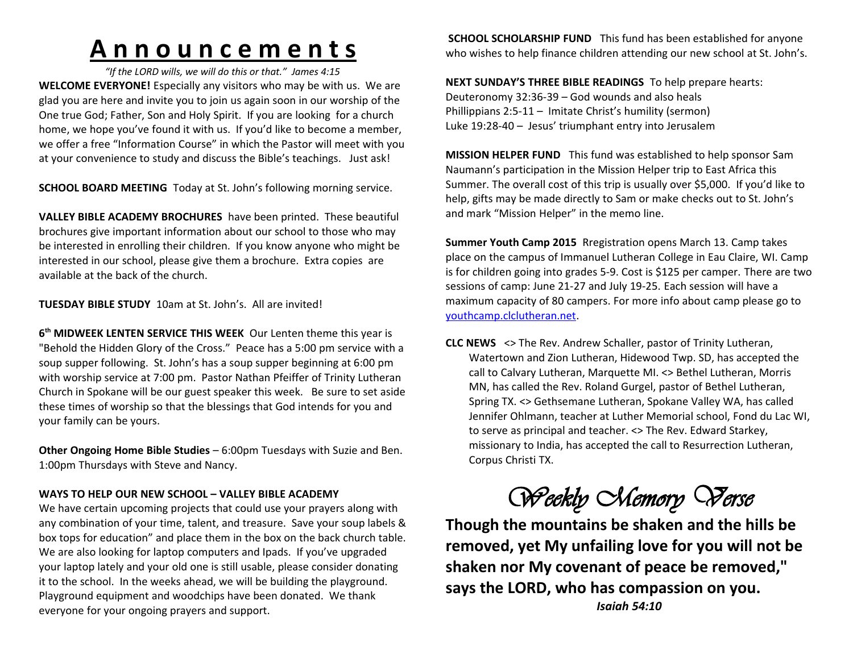# **A n n o u n c e m e n t s**

*"If the LORD wills, we will do this or that." James 4:15* **WELCOME EVERYONE!** Especially any visitors who may be with us. We are glad you are here and invite you to join us again soon in our worship of the One true God; Father, Son and Holy Spirit. If you are looking for a church home, we hope you've found it with us. If you'd like to become a member, we offer a free "Information Course" in which the Pastor will meet with you at your convenience to study and discuss the Bible's teachings. Just ask!

**SCHOOL BOARD MEETING** Today at St. John's following morning service.

**VALLEY BIBLE ACADEMY BROCHURES** have been printed. These beautiful brochures give important information about our school to those who may be interested in enrolling their children. If you know anyone who might be interested in our school, please give them a brochure. Extra copies are available at the back of the church.

**TUESDAY BIBLE STUDY** 10am at St. John's. All are invited!

**6 th MIDWEEK LENTEN SERVICE THIS WEEK** Our Lenten theme this year is "Behold the Hidden Glory of the Cross." Peace has a 5:00 pm service with a soup supper following. St. John's has a soup supper beginning at 6:00 pm with worship service at 7:00 pm. Pastor Nathan Pfeiffer of Trinity Lutheran Church in Spokane will be our guest speaker this week. Be sure to set aside these times of worship so that the blessings that God intends for you and your family can be yours.

**Other Ongoing Home Bible Studies** – 6:00pm Tuesdays with Suzie and Ben. 1:00pm Thursdays with Steve and Nancy.

# **WAYS TO HELP OUR NEW SCHOOL – VALLEY BIBLE ACADEMY**

We have certain upcoming projects that could use your prayers along with any combination of your time, talent, and treasure. Save your soup labels & box tops for education" and place them in the box on the back church table. We are also looking for laptop computers and Ipads. If you've upgraded your laptop lately and your old one is still usable, please consider donating it to the school. In the weeks ahead, we will be building the playground. Playground equipment and woodchips have been donated. We thank everyone for your ongoing prayers and support.

**SCHOOL SCHOLARSHIP FUND** This fund has been established for anyone who wishes to help finance children attending our new school at St. John's.

**NEXT SUNDAY'S THREE BIBLE READINGS** To help prepare hearts: Deuteronomy 32:36-39 – God wounds and also heals Phillippians 2:5-11 – Imitate Christ's humility (sermon) Luke 19:28-40 – Jesus' triumphant entry into Jerusalem

**MISSION HELPER FUND** This fund was established to help sponsor Sam Naumann's participation in the Mission Helper trip to East Africa this Summer. The overall cost of this trip is usually over \$5,000. If you'd like to help, gifts may be made directly to Sam or make checks out to St. John's and mark "Mission Helper" in the memo line.

**Summer Youth Camp 2015** Rregistration opens March 13. Camp takes place on the campus of Immanuel Lutheran College in Eau Claire, WI. Camp is for children going into grades 5-9. Cost is \$125 per camper. There are two sessions of camp: June 21-27 and July 19-25. Each session will have a maximum capacity of 80 campers. For more info about camp please go to youthcamp.clclutheran.net.

**CLC NEWS** <> The Rev. Andrew Schaller, pastor of Trinity Lutheran, Watertown and Zion Lutheran, Hidewood Twp. SD, has accepted the call to Calvary Lutheran, Marquette MI. <> Bethel Lutheran, Morris MN, has called the Rev. Roland Gurgel, pastor of Bethel Lutheran, Spring TX. <> Gethsemane Lutheran, Spokane Valley WA, has called Jennifer Ohlmann, teacher at Luther Memorial school, Fond du Lac WI, to serve as principal and teacher. <> The Rev. Edward Starkey, missionary to India, has accepted the call to Resurrection Lutheran, Corpus Christi TX.

*Weekly Memory Verse*

**Though the mountains be shaken and the hills be removed, yet My unfailing love for you will not be shaken nor My covenant of peace be removed," says the LORD, who has compassion on you.**

*Isaiah 54:10*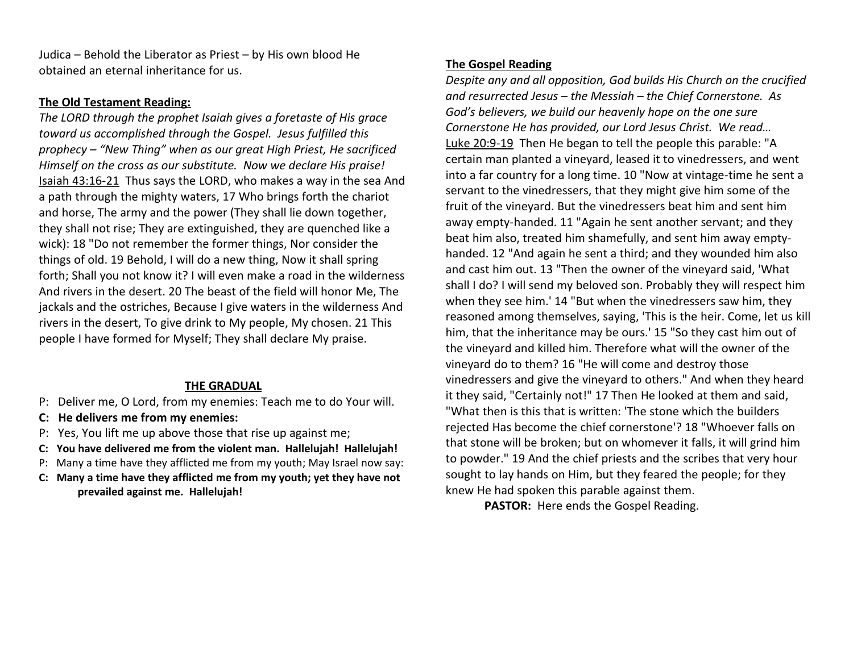Judica – Behold the Liberator as Priest – by His own blood He obtained an eternal inheritance for us.

# **The Old Testament Reading:**

*The LORD through the prophet Isaiah gives a foretaste of His grace toward us accomplished through the Gospel. Jesus fulfilled this prophecy – "New Thing" when as our great High Priest, He sacrificed Himself on the cross as our substitute. Now we declare His praise!* Isaiah 43:16-21 Thus says the LORD, who makes a way in the sea And a path through the mighty waters, 17 Who brings forth the chariot and horse, The army and the power (They shall lie down together, they shall not rise; They are extinguished, they are quenched like a wick): 18 "Do not remember the former things, Nor consider the things of old. 19 Behold, I will do a new thing, Now it shall spring forth; Shall you not know it? I will even make a road in the wilderness And rivers in the desert. 20 The beast of the field will honor Me, The jackals and the ostriches, Because I give waters in the wilderness And rivers in the desert, To give drink to My people, My chosen. 21 This people I have formed for Myself; They shall declare My praise.

# **THE GRADUAL**

- P: Deliver me, O Lord, from my enemies: Teach me to do Your will.
- **C: He delivers me from my enemies:**
- P: Yes, You lift me up above those that rise up against me;
- **C: You have delivered me from the violent man. Hallelujah! Hallelujah!**
- P: Many a time have they afflicted me from my youth; May Israel now say:
- **C: Many a time have they afflicted me from my youth; yet they have not prevailed against me. Hallelujah!**

# **The Gospel Reading**

*Despite any and all opposition, God builds His Church on the crucified and resurrected Jesus – the Messiah – the Chief Cornerstone. As God's believers, we build our heavenly hope on the one sure Cornerstone He has provided, our Lord Jesus Christ. We read…* Luke 20:9-19 Then He began to tell the people this parable: "A certain man planted a vineyard, leased it to vinedressers, and went into a far country for a long time. 10 "Now at vintage-time he sent a servant to the vinedressers, that they might give him some of the fruit of the vineyard. But the vinedressers beat him and sent him away empty-handed. 11 "Again he sent another servant; and they beat him also, treated him shamefully, and sent him away emptyhanded. 12 "And again he sent a third; and they wounded him also and cast him out. 13 "Then the owner of the vineyard said, 'What shall I do? I will send my beloved son. Probably they will respect him when they see him.' 14 "But when the vinedressers saw him, they reasoned among themselves, saying, 'This is the heir. Come, let us kill him, that the inheritance may be ours.' 15 "So they cast him out of the vineyard and killed him. Therefore what will the owner of the vineyard do to them? 16 "He will come and destroy those vinedressers and give the vineyard to others." And when they heard it they said, "Certainly not!" 17 Then He looked at them and said, "What then is this that is written: 'The stone which the builders rejected Has become the chief cornerstone'? 18 "Whoever falls on that stone will be broken; but on whomever it falls, it will grind him to powder." 19 And the chief priests and the scribes that very hour sought to lay hands on Him, but they feared the people; for they knew He had spoken this parable against them.

**PASTOR:** Here ends the Gospel Reading.